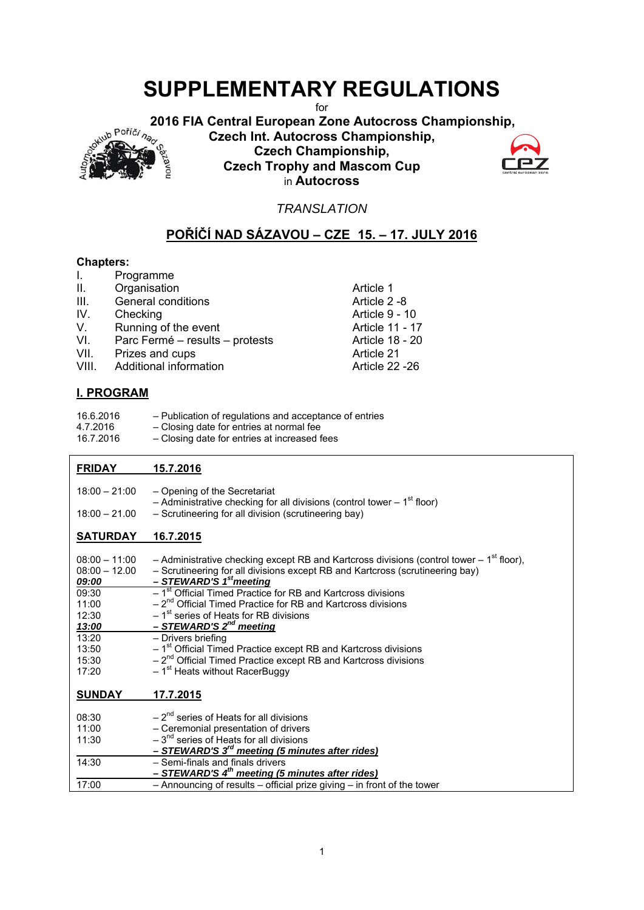for

 **2016 FIA Central European Zone Autocross Championship,** 



**SUPPLEMENTARY REGULATIONS**<br>
<sup>for</sup> 2016 FIA Central European Zone Autocross Championship,<br>
Czech Int. Autocross Championship,<br>
Czech Championship,<br>
Czech Championship,<br>
Alexand Mascom Cup **Czech Int. Autocross Championship, Czech Championship, Czech Trophy and Mascom Cup**  in **Autocross** 



*TRANSLATION* 

# **POŘÍČÍ NAD SÁZAVOU – CZE 15. – 17. JULY 2016**

## **Chapters:**

| Τ.      | Programme                       |                       |
|---------|---------------------------------|-----------------------|
| $\Pi$ . | Organisation                    | Article 1             |
| III.    | General conditions              | Article 2 -8          |
| IV.     | Checking                        | Article 9 - 10        |
| V.      | Running of the event            | Article 11 - 17       |
| VI.     | Parc Fermé - results - protests | Article 18 - 20       |
| VII.    | Prizes and cups                 | Article 21            |
| VIII.   | Additional information          | <b>Article 22 -26</b> |
|         |                                 |                       |

# **I. PROGRAM**

| 16.6.2016 | - Publication of regulations and acceptance of entries |
|-----------|--------------------------------------------------------|
| 4.7.2016  | - Closing date for entries at normal fee               |
| 16.7.2016 | - Closing date for entries at increased fees           |

# **FRIDAY 15.7.2016**

| $18:00 - 21:00$                                                                                                     | - Opening of the Secretariat<br>- Administrative checking for all divisions (control tower $-1st$ floor)                                                                                                                                                                                                                                                                                                                                                                                                                                                                                                                                     |
|---------------------------------------------------------------------------------------------------------------------|----------------------------------------------------------------------------------------------------------------------------------------------------------------------------------------------------------------------------------------------------------------------------------------------------------------------------------------------------------------------------------------------------------------------------------------------------------------------------------------------------------------------------------------------------------------------------------------------------------------------------------------------|
| $18:00 - 21.00$                                                                                                     | - Scrutineering for all division (scrutineering bay)                                                                                                                                                                                                                                                                                                                                                                                                                                                                                                                                                                                         |
| <b>SATURDAY</b>                                                                                                     | 16.7.2015                                                                                                                                                                                                                                                                                                                                                                                                                                                                                                                                                                                                                                    |
| $08:00 - 11:00$<br>$08:00 - 12.00$<br>09:00<br>09:30<br>11:00<br>12:30<br>13:00<br>13:20<br>13:50<br>15:30<br>17:20 | - Administrative checking except RB and Kartcross divisions (control tower $-1st$ floor),<br>- Scrutineering for all divisions except RB and Kartcross (scrutineering bay)<br>- STEWARD'S 1 <sup>st</sup> meeting<br>$-1st$ Official Timed Practice for RB and Kartcross divisions<br>$-2^{nd}$ Official Timed Practice for RB and Kartcross divisions<br>$-1st$ series of Heats for RB divisions<br>- STEWARD'S 2 <sup>nd</sup> meeting<br>- Drivers briefing<br>$-1st$ Official Timed Practice except RB and Kartcross divisions<br>$-2^{nd}$ Official Timed Practice except RB and Kartcross divisions<br>$-1st$ Heats without RacerBuggy |
| <b>SUNDAY</b>                                                                                                       | <u>17.7.2015</u>                                                                                                                                                                                                                                                                                                                                                                                                                                                                                                                                                                                                                             |
| 08:30<br>11:00<br>11:30                                                                                             | $-2^{nd}$ series of Heats for all divisions<br>- Ceremonial presentation of drivers<br>$-3nd$ series of Heats for all divisions<br>- STEWARD'S 3 <sup>rd</sup> meeting (5 minutes after rides)                                                                                                                                                                                                                                                                                                                                                                                                                                               |
| 14:30<br>17:00                                                                                                      | - Semi-finals and finals drivers<br>$-$ STEWARD'S $4th$ meeting (5 minutes after rides)<br>- Announcing of results - official prize giving - in front of the tower                                                                                                                                                                                                                                                                                                                                                                                                                                                                           |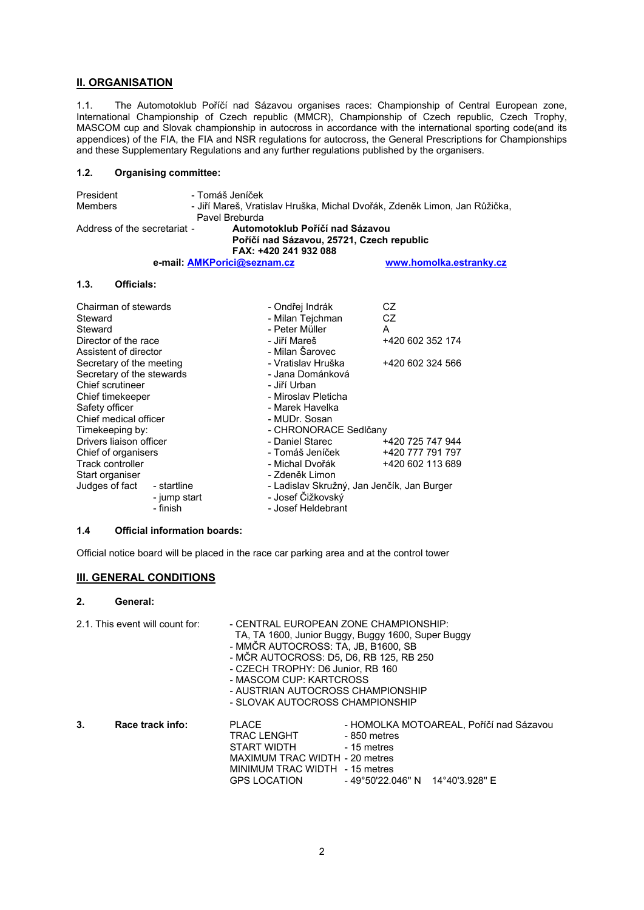#### **II. ORGANISATION**

1.1. The Automotoklub Poříčí nad Sázavou organises races: Championship of Central European zone, International Championship of Czech republic (MMCR), Championship of Czech republic, Czech Trophy, MASCOM cup and Slovak championship in autocross in accordance with the international sporting code(and its appendices) of the FIA, the FIA and NSR regulations for autocross, the General Prescriptions for Championships and these Supplementary Regulations and any further regulations published by the organisers.

#### **1.2. Organising committee:**

| - Tomáš Jeníček                 |                                                                                                          |  |
|---------------------------------|----------------------------------------------------------------------------------------------------------|--|
|                                 | - Jiří Mareš, Vratislav Hruška, Michal Dvořák, Zdeněk Limon, Jan Růžička,                                |  |
| Pavel Breburda                  |                                                                                                          |  |
| Automotoklub Poříčí nad Sázavou |                                                                                                          |  |
|                                 |                                                                                                          |  |
| FAX: +420 241 932 088           |                                                                                                          |  |
|                                 | www.homolka.estranky.cz                                                                                  |  |
|                                 | Address of the secretariat -<br>Poříčí nad Sázavou, 25721, Czech republic<br>e-mail: AMKPorici@seznam.cz |  |

#### **1.3. Officials:**

| Chairman of stewards<br>Steward<br>Steward<br>Director of the race<br>Assistent of director | - Ondřej Indrák<br>- Milan Tejchman<br>- Peter Müller<br>- Jiří Mareš<br>- Milan Šarovec | CZ<br><b>CZ</b><br>A<br>+420 602 352 174 |  |  |
|---------------------------------------------------------------------------------------------|------------------------------------------------------------------------------------------|------------------------------------------|--|--|
| Secretary of the meeting                                                                    | - Vratislav Hruška                                                                       | +420 602 324 566                         |  |  |
| Secretary of the stewards                                                                   | - Jana Dománková                                                                         |                                          |  |  |
| Chief scrutineer                                                                            | - Jiří Urban                                                                             |                                          |  |  |
| Chief timekeeper                                                                            | - Miroslav Pleticha                                                                      |                                          |  |  |
| Safety officer                                                                              | - Marek Havelka                                                                          |                                          |  |  |
| Chief medical officer                                                                       | - MUDr. Sosan                                                                            |                                          |  |  |
| Timekeeping by:                                                                             | - CHRONORACE Sedičany                                                                    |                                          |  |  |
| Drivers liaison officer                                                                     | - Daniel Starec                                                                          | +420 725 747 944                         |  |  |
| Chief of organisers                                                                         | - Tomáš Jeníček                                                                          | +420 777 791 797                         |  |  |
| Track controller                                                                            | - Michal Dvořák                                                                          | +420 602 113 689                         |  |  |
| Start organiser                                                                             | - Zdeněk Limon                                                                           |                                          |  |  |
| Judges of fact<br>- startline                                                               | - Ladislav Skružný, Jan Jenčík, Jan Burger                                               |                                          |  |  |
| - jump start                                                                                | - Josef Čižkovský                                                                        |                                          |  |  |
| - finish                                                                                    | - Josef Heldebrant                                                                       |                                          |  |  |

### **1.4 Official information boards:**

Official notice board will be placed in the race car parking area and at the control tower

#### **III. GENERAL CONDITIONS**

#### **2. General:**

|    | 2.1. This event will count for: | - CENTRAL EUROPEAN ZONE CHAMPIONSHIP:<br>TA, TA 1600, Junior Buggy, Buggy 1600, Super Buggy<br>- MMČR AUTOCROSS: TA, JB, B1600, SB<br>- MČR AUTOCROSS: D5, D6, RB 125, RB 250<br>- CZECH TROPHY: D6 Junior, RB 160<br>- MASCOM CUP: KARTCROSS<br>- AUSTRIAN AUTOCROSS CHAMPIONSHIP<br>- SLOVAK AUTOCROSS CHAMPIONSHIP |                                                                                   |                                         |
|----|---------------------------------|-----------------------------------------------------------------------------------------------------------------------------------------------------------------------------------------------------------------------------------------------------------------------------------------------------------------------|-----------------------------------------------------------------------------------|-----------------------------------------|
| 3. | Race track info:                | <b>PLACE</b><br><b>TRAC LENGHT</b><br>START WIDTH<br>MAXIMUM TRAC WIDTH - 20 metres<br>MINIMUM TRAC WIDTH - 15 metres<br>GPS LOCATION                                                                                                                                                                                 | -850 metres<br>- 15 metres<br>$-49^{\circ}50'22.046'' N$ $14^{\circ}40'3.928'' E$ | - HOMOLKA MOTOAREAL, Poříčí nad Sázavou |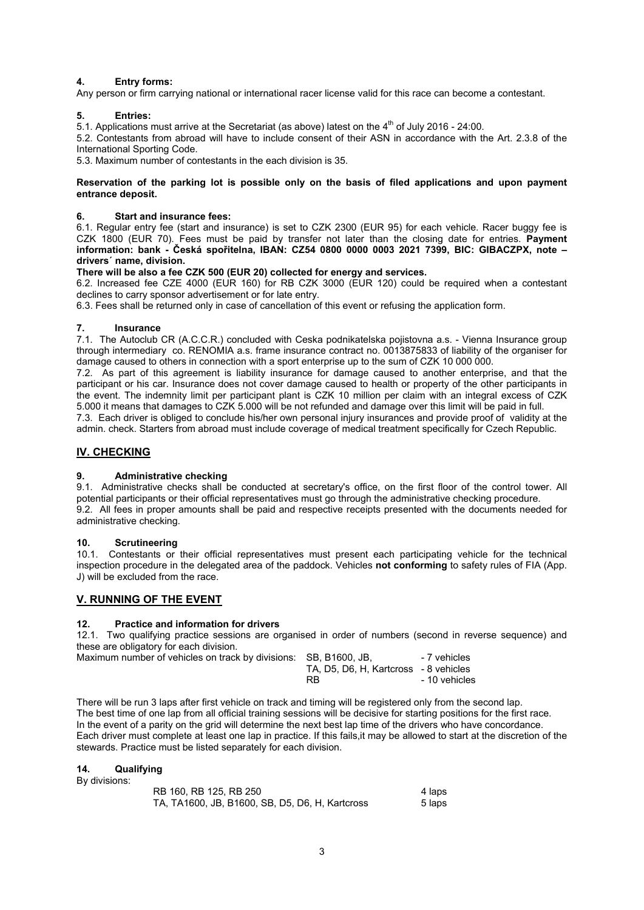#### **4. Entry forms:**

Any person or firm carrying national or international racer license valid for this race can become a contestant.

#### **5. Entries:**

5.1. Applications must arrive at the Secretariat (as above) latest on the  $4<sup>th</sup>$  of July 2016 - 24:00.

5.2. Contestants from abroad will have to include consent of their ASN in accordance with the Art. 2.3.8 of the International Sporting Code.

5.3. Maximum number of contestants in the each division is 35.

#### **Reservation of the parking lot is possible only on the basis of filed applications and upon payment entrance deposit.**

#### **6. Start and insurance fees:**

6.1. Regular entry fee (start and insurance) is set to CZK 2300 (EUR 95) for each vehicle. Racer buggy fee is CZK 1800 (EUR 70). Fees must be paid by transfer not later than the closing date for entries. **Payment information: bank - Česká spořitelna, IBAN: CZ54 0800 0000 0003 2021 7399, BIC: GIBACZPX, note – drivers´ name, division.** 

#### **There will be also a fee CZK 500 (EUR 20) collected for energy and services.**

6.2. Increased fee CZE 4000 (EUR 160) for RB CZK 3000 (EUR 120) could be required when a contestant declines to carry sponsor advertisement or for late entry.

6.3. Fees shall be returned only in case of cancellation of this event or refusing the application form.

#### **7. Insurance**

7.1. The Autoclub CR (A.C.C.R.) concluded with Ceska podnikatelska pojistovna a.s. - Vienna Insurance group through intermediary co. RENOMIA a.s. frame insurance contract no. 0013875833 of liability of the organiser for damage caused to others in connection with a sport enterprise up to the sum of CZK 10 000 000.

7.2. As part of this agreement is liability insurance for damage caused to another enterprise, and that the participant or his car. Insurance does not cover damage caused to health or property of the other participants in the event. The indemnity limit per participant plant is CZK 10 million per claim with an integral excess of CZK 5.000 it means that damages to CZK 5.000 will be not refunded and damage over this limit will be paid in full. 7.3. Each driver is obliged to conclude his/her own personal injury insurances and provide proof of validity at the

admin. check. Starters from abroad must include coverage of medical treatment specifically for Czech Republic.

#### **IV. CHECKING**

#### **9. Administrative checking**

9.1. Administrative checks shall be conducted at secretary's office, on the first floor of the control tower. All potential participants or their official representatives must go through the administrative checking procedure. 9.2. All fees in proper amounts shall be paid and respective receipts presented with the documents needed for administrative checking.

#### **10. Scrutineering**

10.1. Contestants or their official representatives must present each participating vehicle for the technical inspection procedure in the delegated area of the paddock. Vehicles **not conforming** to safety rules of FIA (App. J) will be excluded from the race.

#### **V. RUNNING OF THE EVENT**

#### **12. Practice and information for drivers**

12.1. Two qualifying practice sessions are organised in order of numbers (second in reverse sequence) and these are obligatory for each division. Maximum number

| Maximum number of vehicles on track by divisions: SB, B1600, JB, |                                       | - 7 vehicles  |
|------------------------------------------------------------------|---------------------------------------|---------------|
|                                                                  | TA, D5, D6, H, Kartcross - 8 vehicles |               |
|                                                                  | RB.                                   | - 10 vehicles |

There will be run 3 laps after first vehicle on track and timing will be registered only from the second lap. The best time of one lap from all official training sessions will be decisive for starting positions for the first race. In the event of a parity on the grid will determine the next best lap time of the drivers who have concordance. Each driver must complete at least one lap in practice. If this fails,it may be allowed to start at the discretion of the stewards. Practice must be listed separately for each division.

#### **14. Qualifying**  By divisions:

| Dy ulvisiolis. |                                                 |        |
|----------------|-------------------------------------------------|--------|
|                | RB 160, RB 125, RB 250                          | 4 laps |
|                | TA, TA1600, JB, B1600, SB, D5, D6, H, Kartcross | 5 laps |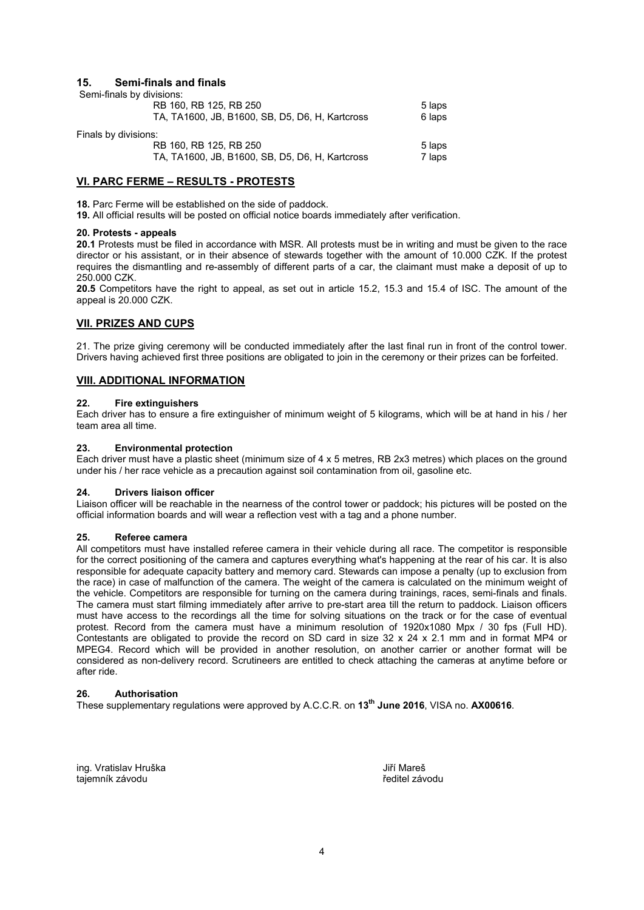#### **15. Semi-finals and finals**

| Semi-finals by divisions: |                                                 |        |
|---------------------------|-------------------------------------------------|--------|
|                           | RB 160, RB 125, RB 250                          | 5 laps |
|                           | TA, TA1600, JB, B1600, SB, D5, D6, H, Kartcross | 6 laps |
| Finals by divisions:      |                                                 |        |
|                           | RB 160, RB 125, RB 250                          | 5 laps |
|                           | TA, TA1600, JB, B1600, SB, D5, D6, H, Kartcross | 7 laps |

### **VI. PARC FERME – RESULTS - PROTESTS**

**18.** Parc Ferme will be established on the side of paddock.

**19.** All official results will be posted on official notice boards immediately after verification.

#### **20. Protests - appeals**

**20.1** Protests must be filed in accordance with MSR. All protests must be in writing and must be given to the race director or his assistant, or in their absence of stewards together with the amount of 10.000 CZK. If the protest requires the dismantling and re-assembly of different parts of a car, the claimant must make a deposit of up to 250.000 CZK.

**20.5** Competitors have the right to appeal, as set out in article 15.2, 15.3 and 15.4 of ISC. The amount of the appeal is 20.000 CZK.

#### **VII. PRIZES AND CUPS**

21. The prize giving ceremony will be conducted immediately after the last final run in front of the control tower. Drivers having achieved first three positions are obligated to join in the ceremony or their prizes can be forfeited.

#### **VIII. ADDITIONAL INFORMATION**

#### **22. Fire extinguishers**

Each driver has to ensure a fire extinguisher of minimum weight of 5 kilograms, which will be at hand in his / her team area all time.

#### **23. Environmental protection**

Each driver must have a plastic sheet (minimum size of 4 x 5 metres, RB 2x3 metres) which places on the ground under his / her race vehicle as a precaution against soil contamination from oil, gasoline etc.

#### **24. Drivers liaison officer**

Liaison officer will be reachable in the nearness of the control tower or paddock; his pictures will be posted on the official information boards and will wear a reflection vest with a tag and a phone number.

#### **25. Referee camera**

All competitors must have installed referee camera in their vehicle during all race. The competitor is responsible for the correct positioning of the camera and captures everything what's happening at the rear of his car. It is also responsible for adequate capacity battery and memory card. Stewards can impose a penalty (up to exclusion from the race) in case of malfunction of the camera. The weight of the camera is calculated on the minimum weight of the vehicle. Competitors are responsible for turning on the camera during trainings, races, semi-finals and finals. The camera must start filming immediately after arrive to pre-start area till the return to paddock. Liaison officers must have access to the recordings all the time for solving situations on the track or for the case of eventual protest. Record from the camera must have a minimum resolution of 1920x1080 Mpx / 30 fps (Full HD). Contestants are obligated to provide the record on SD card in size 32 x 24 x 2.1 mm and in format MP4 or MPEG4. Record which will be provided in another resolution, on another carrier or another format will be considered as non-delivery record. Scrutineers are entitled to check attaching the cameras at anytime before or after ride.

#### **26. Authorisation**

These supplementary regulations were approved by A.C.C.R. on **13th June 2016**, VISA no. **AX00616**.

ing. Vratislav Hruška Jiří Mareš tajemník závodu **ředitel závodu** ředitel závodu ředitel závodu